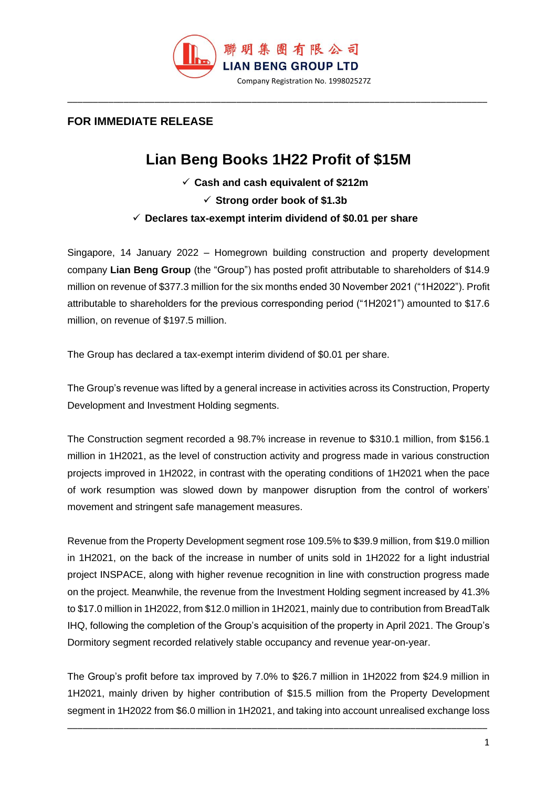

## **FOR IMMEDIATE RELEASE**

## **Lian Beng Books 1H22 Profit of \$15M**

\_\_\_\_\_\_\_\_\_\_\_\_\_\_\_\_\_\_\_\_\_\_\_\_\_\_\_\_\_\_\_\_\_\_\_\_\_\_\_\_\_\_\_\_\_\_\_\_\_\_\_\_\_\_\_\_\_\_\_\_\_\_\_\_\_\_\_\_\_\_\_\_\_\_\_\_\_\_\_\_\_\_

- ✓ **Cash and cash equivalent of \$212m**
	- ✓ **Strong order book of \$1.3b**
- ✓ **Declares tax-exempt interim dividend of \$0.01 per share**

Singapore, 14 January 2022 – Homegrown building construction and property development company **Lian Beng Group** (the "Group") has posted profit attributable to shareholders of \$14.9 million on revenue of \$377.3 million for the six months ended 30 November 2021 ("1H2022"). Profit attributable to shareholders for the previous corresponding period ("1H2021") amounted to \$17.6 million, on revenue of \$197.5 million.

The Group has declared a tax-exempt interim dividend of \$0.01 per share.

The Group's revenue was lifted by a general increase in activities across its Construction, Property Development and Investment Holding segments.

The Construction segment recorded a 98.7% increase in revenue to \$310.1 million, from \$156.1 million in 1H2021, as the level of construction activity and progress made in various construction projects improved in 1H2022, in contrast with the operating conditions of 1H2021 when the pace of work resumption was slowed down by manpower disruption from the control of workers' movement and stringent safe management measures.

Revenue from the Property Development segment rose 109.5% to \$39.9 million, from \$19.0 million in 1H2021, on the back of the increase in number of units sold in 1H2022 for a light industrial project INSPACE, along with higher revenue recognition in line with construction progress made on the project. Meanwhile, the revenue from the Investment Holding segment increased by 41.3% to \$17.0 million in 1H2022, from \$12.0 million in 1H2021, mainly due to contribution from BreadTalk IHQ, following the completion of the Group's acquisition of the property in April 2021. The Group's Dormitory segment recorded relatively stable occupancy and revenue year-on-year.

The Group's profit before tax improved by 7.0% to \$26.7 million in 1H2022 from \$24.9 million in 1H2021, mainly driven by higher contribution of \$15.5 million from the Property Development segment in 1H2022 from \$6.0 million in 1H2021, and taking into account unrealised exchange loss

\_\_\_\_\_\_\_\_\_\_\_\_\_\_\_\_\_\_\_\_\_\_\_\_\_\_\_\_\_\_\_\_\_\_\_\_\_\_\_\_\_\_\_\_\_\_\_\_\_\_\_\_\_\_\_\_\_\_\_\_\_\_\_\_\_\_\_\_\_\_\_\_\_\_\_\_\_\_\_\_\_\_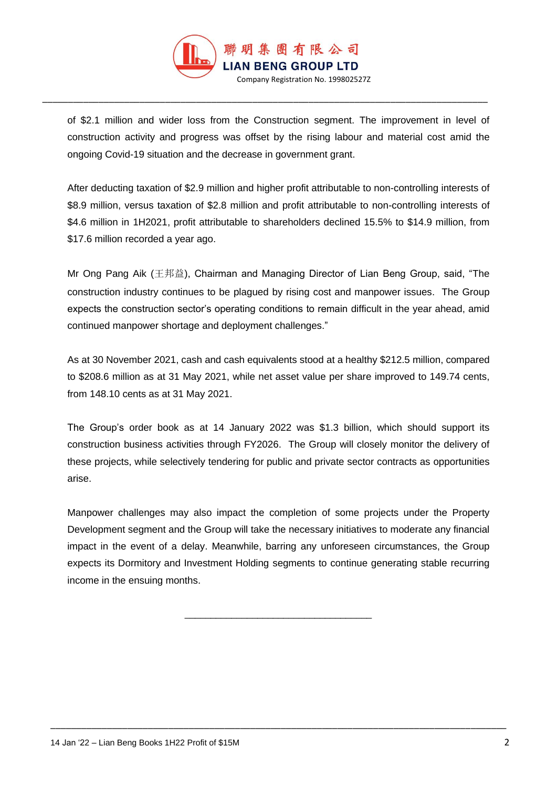

\_\_\_\_\_\_\_\_\_\_\_\_\_\_\_\_\_\_\_\_\_\_\_\_\_\_\_\_\_\_\_\_\_\_\_\_\_\_\_\_\_\_\_\_\_\_\_\_\_\_\_\_\_\_\_\_\_\_\_\_\_\_\_\_\_\_\_\_\_\_\_\_\_\_\_\_\_\_\_\_\_\_\_\_\_\_\_

of \$2.1 million and wider loss from the Construction segment. The improvement in level of construction activity and progress was offset by the rising labour and material cost amid the ongoing Covid-19 situation and the decrease in government grant.

After deducting taxation of \$2.9 million and higher profit attributable to non-controlling interests of \$8.9 million, versus taxation of \$2.8 million and profit attributable to non-controlling interests of \$4.6 million in 1H2021, profit attributable to shareholders declined 15.5% to \$14.9 million, from \$17.6 million recorded a year ago.

Mr Ong Pang Aik (王邦益), Chairman and Managing Director of Lian Beng Group, said, "The construction industry continues to be plagued by rising cost and manpower issues. The Group expects the construction sector's operating conditions to remain difficult in the year ahead, amid continued manpower shortage and deployment challenges."

As at 30 November 2021, cash and cash equivalents stood at a healthy \$212.5 million, compared to \$208.6 million as at 31 May 2021, while net asset value per share improved to 149.74 cents, from 148.10 cents as at 31 May 2021.

The Group's order book as at 14 January 2022 was \$1.3 billion, which should support its construction business activities through FY2026. The Group will closely monitor the delivery of these projects, while selectively tendering for public and private sector contracts as opportunities arise.

Manpower challenges may also impact the completion of some projects under the Property Development segment and the Group will take the necessary initiatives to moderate any financial impact in the event of a delay. Meanwhile, barring any unforeseen circumstances, the Group expects its Dormitory and Investment Holding segments to continue generating stable recurring income in the ensuing months.

\_\_\_\_\_\_\_\_\_\_\_\_\_\_\_\_\_\_\_\_\_\_\_\_\_\_\_\_\_\_\_\_\_\_\_\_

\_\_\_\_\_\_\_\_\_\_\_\_\_\_\_\_\_\_\_\_\_\_\_\_\_\_\_\_\_\_\_\_\_\_\_\_\_\_\_\_\_\_\_\_\_\_\_\_\_\_\_\_\_\_\_\_\_\_\_\_\_\_\_\_\_\_\_\_\_\_\_\_\_\_\_\_\_\_\_\_\_\_\_\_\_\_\_\_\_